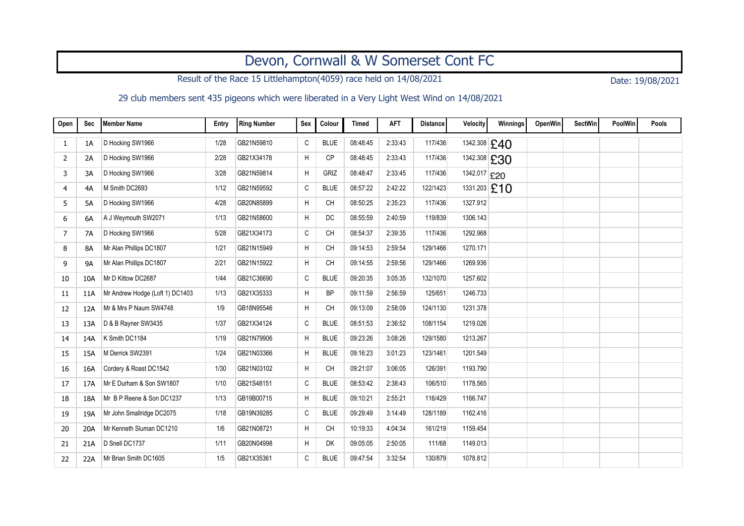## Devon, Cornwall & W Somerset Cont FC

Result of the Race 15 Littlehampton(4059) race held on 14/08/2021 Date: 19/08/2021

29 club members sent 435 pigeons which were liberated in a Very Light West Wind on 14/08/2021

| Open | Sec       | <b>Member Name</b>              | Entry | Ring Number | <b>Sex</b> | Colour      | <b>Timed</b> | <b>AFT</b> | <b>Distance</b> | Velocity     | Winnings       | OpenWin | <b>SectWin</b> | PoolWin | Pools |
|------|-----------|---------------------------------|-------|-------------|------------|-------------|--------------|------------|-----------------|--------------|----------------|---------|----------------|---------|-------|
| 1    | 1A        | D Hocking SW1966                | 1/28  | GB21N59810  | C          | <b>BLUE</b> | 08:48:45     | 2:33:43    | 117/436         |              | 1342.308 £40   |         |                |         |       |
| 2    | 2A        | D Hocking SW1966                | 2/28  | GB21X34178  | H          | <b>CP</b>   | 08:48:45     | 2:33:43    | 117/436         |              | 1342.308 £30   |         |                |         |       |
| 3    | 3A        | D Hocking SW1966                | 3/28  | GB21N59814  | H          | GRIZ        | 08:48:47     | 2:33:45    | 117/436         | 1342.017 £20 |                |         |                |         |       |
| 4    | 4A        | M Smith DC2693                  | 1/12  | GB21N59592  | C          | <b>BLUE</b> | 08:57:22     | 2:42:22    | 122/1423        |              | $1331.203$ £10 |         |                |         |       |
| 5    | 5A        | D Hocking SW1966                | 4/28  | GB20N85899  | Η          | <b>CH</b>   | 08:50:25     | 2:35:23    | 117/436         | 1327.912     |                |         |                |         |       |
| 6    | 6A        | A J Weymouth SW2071             | 1/13  | GB21N58600  | H          | <b>DC</b>   | 08:55:59     | 2:40:59    | 119/839         | 1306.143     |                |         |                |         |       |
| 7    | 7A        | D Hocking SW1966                | 5/28  | GB21X34173  | C          | CH          | 08:54:37     | 2:39:35    | 117/436         | 1292.968     |                |         |                |         |       |
| 8    | 8A        | Mr Alan Phillips DC1807         | 1/21  | GB21N15949  | Η          | CH          | 09:14:53     | 2:59:54    | 129/1466        | 1270.171     |                |         |                |         |       |
| 9    | <b>9A</b> | Mr Alan Phillips DC1807         | 2/21  | GB21N15922  | H          | <b>CH</b>   | 09:14:55     | 2:59:56    | 129/1466        | 1269.936     |                |         |                |         |       |
| 10   | 10A       | Mr D Kittow DC2687              | 1/44  | GB21C36690  | C          | <b>BLUE</b> | 09:20:35     | 3:05:35    | 132/1070        | 1257.602     |                |         |                |         |       |
| 11   | 11A       | Mr Andrew Hodge (Loft 1) DC1403 | 1/13  | GB21X35333  | H          | <b>BP</b>   | 09:11:59     | 2:56:59    | 125/651         | 1246.733     |                |         |                |         |       |
| 12   | 12A       | Mr & Mrs P Naum SW4748          | 1/9   | GB18N95546  | H          | <b>CH</b>   | 09:13:09     | 2:58:09    | 124/1130        | 1231.378     |                |         |                |         |       |
| 13   | 13A       | D & B Rayner SW3435             | 1/37  | GB21X34124  | С          | <b>BLUE</b> | 08:51:53     | 2:36:52    | 108/1154        | 1219.026     |                |         |                |         |       |
| 14   | 14A       | K Smith DC1184                  | 1/19  | GB21N79906  | H          | <b>BLUE</b> | 09:23:26     | 3:08:26    | 129/1580        | 1213.267     |                |         |                |         |       |
| 15   | 15A       | M Derrick SW2391                | 1/24  | GB21N03366  | H          | <b>BLUE</b> | 09:16:23     | 3:01:23    | 123/1461        | 1201.549     |                |         |                |         |       |
| 16   | 16A       | Cordery & Roast DC1542          | 1/30  | GB21N03102  | H          | <b>CH</b>   | 09:21:07     | 3:06:05    | 126/391         | 1193.790     |                |         |                |         |       |
| 17   | 17A       | Mr E Durham & Son SW1807        | 1/10  | GB21S48151  | C          | <b>BLUE</b> | 08:53:42     | 2:38:43    | 106/510         | 1178.565     |                |         |                |         |       |
| 18   | 18A       | Mr B P Reene & Son DC1237       | 1/13  | GB19B00715  | H          | <b>BLUE</b> | 09:10:21     | 2:55:21    | 116/429         | 1166.747     |                |         |                |         |       |
| 19   | 19A       | Mr John Smallridge DC2075       | 1/18  | GB19N39285  | C          | <b>BLUE</b> | 09:29:49     | 3:14:49    | 128/1189        | 1162.416     |                |         |                |         |       |
| 20   | 20A       | Mr Kenneth Sluman DC1210        | 1/6   | GB21N08721  | Η          | <b>CH</b>   | 10:19:33     | 4:04:34    | 161/219         | 1159.454     |                |         |                |         |       |
| 21   | 21A       | D Snell DC1737                  | 1/11  | GB20N04998  | H          | <b>DK</b>   | 09:05:05     | 2:50:05    | 111/68          | 1149.013     |                |         |                |         |       |
| 22   | 22A       | Mr Brian Smith DC1605           | 1/5   | GB21X35361  | C          | <b>BLUE</b> | 09:47:54     | 3:32:54    | 130/879         | 1078.812     |                |         |                |         |       |